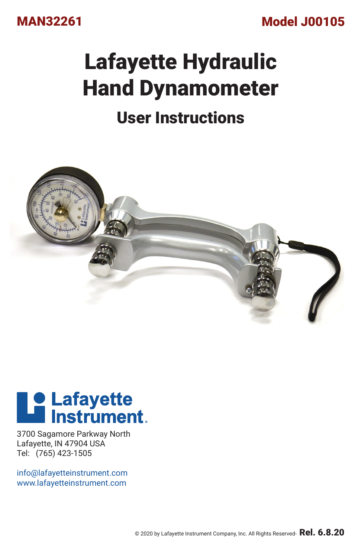

Model J00105

# Lafayette Hydraulic Hand Dynamometer

# User Instructions



# **Le Lafayette**<br>**Le lnstrument**

3700 Sagamore Parkway North Lafayette, IN 47904 USA Tel: (765) 423-1505

info@lafayetteinstrument.com www.lafayetteinstrument.com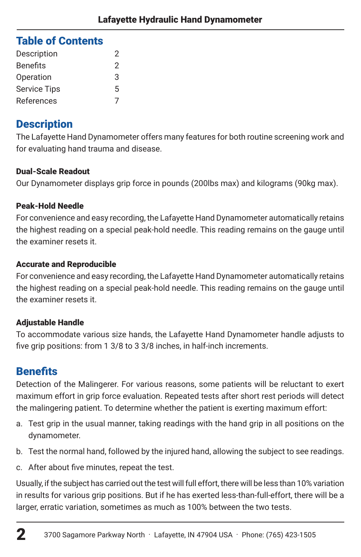# Table of Contents

| Description         | 2 |
|---------------------|---|
| <b>Benefits</b>     | 2 |
| Operation           | 3 |
| <b>Service Tips</b> | 5 |
| References          |   |

# **Description**

The Lafayette Hand Dynamometer offers many features for both routine screening work and for evaluating hand trauma and disease.

# Dual-Scale Readout

Our Dynamometer displays grip force in pounds (200lbs max) and kilograms (90kg max).

# Peak-Hold Needle

For convenience and easy recording, the Lafayette Hand Dynamometer automatically retains the highest reading on a special peak-hold needle. This reading remains on the gauge until the examiner resets it.

## Accurate and Reproducible

For convenience and easy recording, the Lafayette Hand Dynamometer automatically retains the highest reading on a special peak-hold needle. This reading remains on the gauge until the examiner resets it.

## Adjustable Handle

To accommodate various size hands, the Lafayette Hand Dynamometer handle adjusts to five grip positions: from 1 3/8 to 3 3/8 inches, in half-inch increments.

# **Benefits**

 $\boldsymbol{\mathcal{D}}$ 

Detection of the Malingerer. For various reasons, some patients will be reluctant to exert maximum effort in grip force evaluation. Repeated tests after short rest periods will detect the malingering patient. To determine whether the patient is exerting maximum effort:

- a. Test grip in the usual manner, taking readings with the hand grip in all positions on the dynamometer.
- b. Test the normal hand, followed by the injured hand, allowing the subject to see readings.
- c. After about five minutes, repeat the test.

Usually, if the subject has carried out the test will full effort, there will be less than 10% variation in results for various grip positions. But if he has exerted less-than-full-effort, there will be a larger, erratic variation, sometimes as much as 100% between the two tests.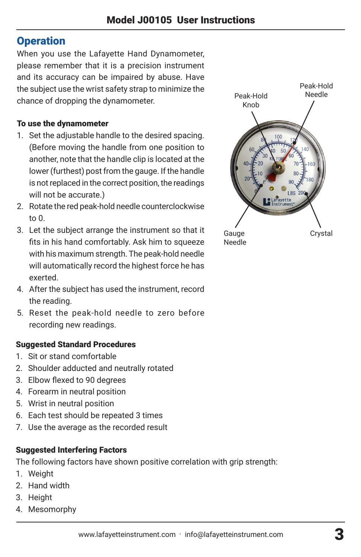# **Operation**

When you use the Lafayette Hand Dynamometer, please remember that it is a precision instrument and its accuracy can be impaired by abuse. Have the subject use the wrist safety strap to minimize the chance of dropping the dynamometer.

#### To use the dynamometer

- 1. Set the adjustable handle to the desired spacing. (Before moving the handle from one position to another, note that the handle clip is located at the lower (furthest) post from the gauge. If the handle is not replaced in the correct position, the readings will not be accurate.)
- 2. Rotate the red peak-hold needle counterclockwise to 0.
- 3. Let the subject arrange the instrument so that it fits in his hand comfortably. Ask him to squeeze with his maximum strength. The peak-hold needle will automatically record the highest force he has exerted.
- 4. After the subject has used the instrument, record the reading.
- 5. Reset the peak-hold needle to zero before recording new readings.

#### Suggested Standard Procedures

- 1. Sit or stand comfortable
- 2. Shoulder adducted and neutrally rotated
- 3. Elbow flexed to 90 degrees
- 4. Forearm in neutral position
- 5. Wrist in neutral position
- 6. Each test should be repeated 3 times
- 7. Use the average as the recorded result

#### Suggested Interfering Factors

The following factors have shown positive correlation with grip strength:

- 1. Weight
- 2. Hand width
- 3. Height
- 4. Mesomorphy



www.lafayetteinstrument.com . info@lafayetteinstrument.com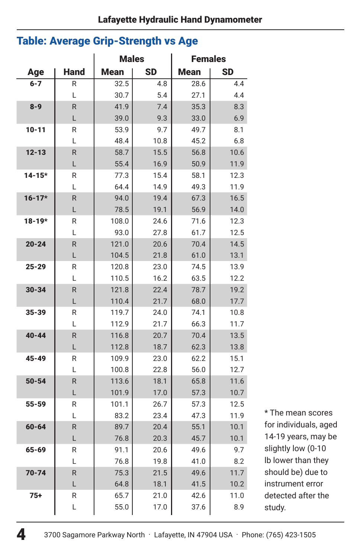# Table: Average Grip-Strength vs Age

|            |             | <b>Males</b>   |              | <b>Females</b> |              |
|------------|-------------|----------------|--------------|----------------|--------------|
| Age        | <b>Hand</b> | <b>Mean</b>    | <b>SD</b>    | <b>Mean</b>    | <b>SD</b>    |
| $6 - 7$    | R           | 32.5           | 4.8          | 28.6           | 4.4          |
|            | L           | 30.7           | 5.4          | 27.1           | 4.4          |
| $8 - 9$    | R           | 41.9           | 7.4          | 35.3           | 8.3          |
|            | L           | 39.0           | 9.3          | 33.0           | 6.9          |
| $10 - 11$  | R           | 53.9           | 9.7          | 49.7           | 8.1          |
|            | L           | 48.4           | 10.8         | 45.2           | 6.8          |
| $12 - 13$  | R           | 58.7           | 15.5         | 56.8           | 10.6         |
|            | L           | 55.4           | 16.9         | 50.9           | 11.9         |
| $14 - 15*$ | R           | 77.3           | 15.4         | 58.1           | 12.3         |
|            | L           | 64.4           | 14.9         | 49.3           | 11.9         |
| $16 - 17*$ | R           | 94.0           | 19.4         | 67.3           | 16.5         |
|            | L           | 78.5           | 19.1         | 56.9           | 14.0         |
| $18 - 19*$ | R           | 108.0          | 24.6         | 71.6           | 12.3         |
|            | L           | 93.0           | 27.8         | 61.7           | 12.5         |
| $20 - 24$  | R           | 121.0          | 20.6         | 70.4           | 14.5         |
|            | L           | 104.5          | 21.8         | 61.0           | 13.1         |
| $25 - 29$  | R           | 120.8          | 23.0         | 74.5           | 13.9         |
|            | L           | 110.5          | 16.2         | 63.5           | 12.2         |
| $30 - 34$  | R           | 121.8          | 22.4         | 78.7           | 19.2         |
|            | L           | 110.4          | 21.7         | 68.0           | 17.7         |
| 35-39      | R           | 119.7          | 24.0         | 74.1           | 10.8         |
|            | L           | 112.9          | 21.7         | 66.3           | 11.7         |
| $40 - 44$  | R           | 116.8          | 20.7         | 70.4           | 13.5         |
|            | L           | 112.8          | 18.7         | 62.3           | 13.8         |
| 45-49      | R           | 109.9          | 23.0         | 62.2           | 15.1         |
|            | L           | 100.8          | 22.8         | 56.0           | 12.7         |
| $50 - 54$  | R<br>L      | 113.6          | 18.1         | 65.8           | 11.6         |
| 55-59      | R           | 101.9<br>101.1 | 17.0<br>26.7 | 57.3<br>57.3   | 10.7<br>12.5 |
|            | L           | 83.2           | 23.4         | 47.3           | 11.9         |
| $60 - 64$  | R           | 89.7           | 20.4         | 55.1           | 10.1         |
|            | L           | 76.8           | 20.3         | 45.7           | 10.1         |
| 65-69      | R           | 91.1           | 20.6         | 49.6           | 9.7          |
|            | L           | 76.8           | 19.8         | 41.0           | 8.2          |
| $70 - 74$  | R           | 75.3           | 21.5         | 49.6           | 11.7         |
|            | L           | 64.8           | 18.1         | 41.5           | 10.2         |
| $75+$      | R           | 65.7           | 21.0         | 42.6           | 11.0         |
|            | L           | 55.0           | 17.0         | 37.6           | 8.9          |
|            |             |                |              |                |              |

\* The mean scores for individuals, aged 14-19 years, may be slightly low (0-10 lb lower than they should be) due to instrument error detected after the study.

4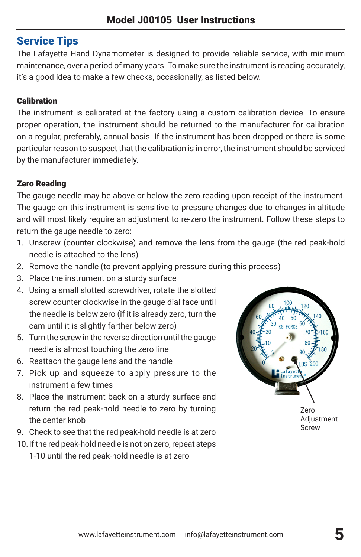# Service Tips

The Lafayette Hand Dynamometer is designed to provide reliable service, with minimum maintenance, over a period of many years. To make sure the instrument is reading accurately, it's a good idea to make a few checks, occasionally, as listed below.

# **Calibration**

The instrument is calibrated at the factory using a custom calibration device. To ensure proper operation, the instrument should be returned to the manufacturer for calibration on a regular, preferably, annual basis. If the instrument has been dropped or there is some particular reason to suspect that the calibration is in error, the instrument should be serviced by the manufacturer immediately.

# Zero Reading

The gauge needle may be above or below the zero reading upon receipt of the instrument. The gauge on this instrument is sensitive to pressure changes due to changes in altitude and will most likely require an adjustment to re-zero the instrument. Follow these steps to return the gauge needle to zero:

- 1. Unscrew (counter clockwise) and remove the lens from the gauge (the red peak-hold needle is attached to the lens)
- 2. Remove the handle (to prevent applying pressure during this process)
- 3. Place the instrument on a sturdy surface
- 4. Using a small slotted screwdriver, rotate the slotted screw counter clockwise in the gauge dial face until the needle is below zero (if it is already zero, turn the cam until it is slightly farther below zero)
- 5. Turn the screw in the reverse direction until the gauge needle is almost touching the zero line
- 6. Reattach the gauge lens and the handle
- 7. Pick up and squeeze to apply pressure to the instrument a few times
- 8. Place the instrument back on a sturdy surface and return the red peak-hold needle to zero by turning the center knob
- 9. Check to see that the red peak-hold needle is at zero
- 10.If the red peak-hold needle is not on zero, repeat steps 1-10 until the red peak-hold needle is at zero



Zero Adjustment Screw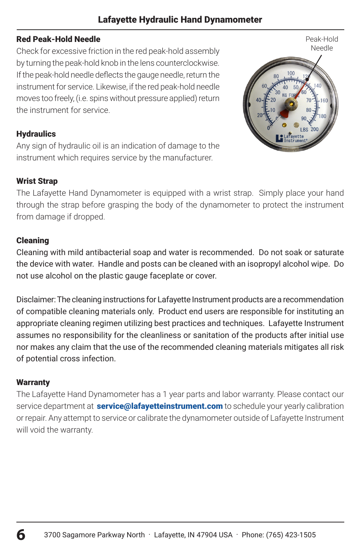## Lafayette Hydraulic Hand Dynamometer

#### Red Peak-Hold Needle

Check for excessive friction in the red peak-hold assembly by turning the peak-hold knob in the lens counterclockwise. If the peak-hold needle deflects the gauge needle, return the instrument for service. Likewise, if the red peak-hold needle moves too freely, (i.e. spins without pressure applied) return the instrument for service.

#### **Hydraulics**

Any sign of hydraulic oil is an indication of damage to the instrument which requires service by the manufacturer.

#### Wrist Strap

The Lafayette Hand Dynamometer is equipped with a wrist strap. Simply place your hand through the strap before grasping the body of the dynamometer to protect the instrument from damage if dropped.

#### Cleaning

Cleaning with mild antibacterial soap and water is recommended. Do not soak or saturate the device with water. Handle and posts can be cleaned with an isopropyl alcohol wipe. Do not use alcohol on the plastic gauge faceplate or cover.

Disclaimer: The cleaning instructions for Lafayette Instrument products are a recommendation of compatible cleaning materials only. Product end users are responsible for instituting an appropriate cleaning regimen utilizing best practices and techniques. Lafayette Instrument assumes no responsibility for the cleanliness or sanitation of the products after initial use nor makes any claim that the use of the recommended cleaning materials mitigates all risk of potential cross infection.

#### **Warranty**

The Lafayette Hand Dynamometer has a 1 year parts and labor warranty. Please contact our service department at **service@lafayetteinstrument.com** to schedule your yearly calibration or repair. Any attempt to service or calibrate the dynamometer outside of Lafayette Instrument will void the warranty.

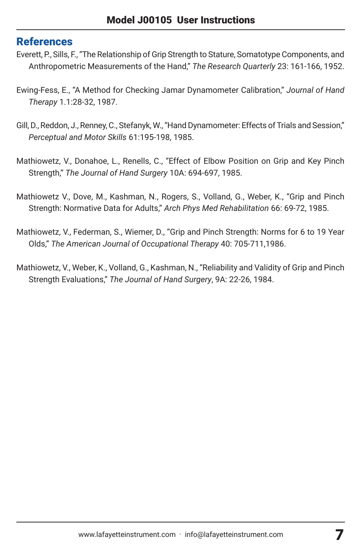# References

- Everett, P., Sills, F., "The Relationship of Grip Strength to Stature, Somatotype Components, and Anthropometric Measurements of the Hand," *The Research Quarterly* 23: 161-166, 1952.
- Ewing-Fess, E., "A Method for Checking Jamar Dynamometer Calibration," *Journal of Hand Therapy* 1.1:28-32, 1987.
- Gill, D., Reddon, J., Renney, C., Stefanyk, W., "Hand Dynamometer: Effects of Trials and Session," *Perceptual and Motor Skills* 61:195-198, 1985.
- Mathiowetz, V., Donahoe, L., Renells, C., "Effect of Elbow Position on Grip and Key Pinch Strength," *The Journal of Hand Surgery* 10A: 694-697, 1985.
- Mathiowetz V., Dove, M., Kashman, N., Rogers, S., Volland, G., Weber, K., "Grip and Pinch Strength: Normative Data for Adults," *Arch Phys Med Rehabilitation* 66: 69-72, 1985.
- Mathiowetz, V., Federman, S., Wiemer, D., "Grip and Pinch Strength: Norms for 6 to 19 Year Olds," *The American Journal of Occupational Therapy* 40: 705-711,1986.
- Mathiowetz, V., Weber, K., Volland, G., Kashman, N., "Reliability and Validity of Grip and Pinch Strength Evaluations," *The Journal of Hand Surgery*, 9A: 22-26, 1984.